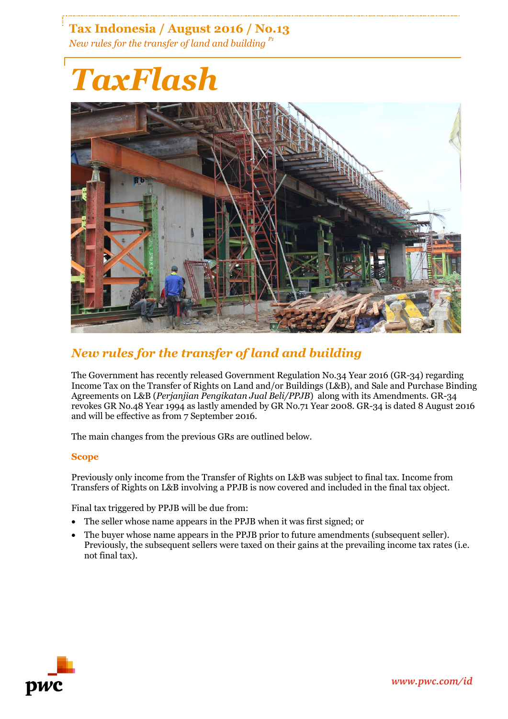**Tax Indonesia / August 2016 / No.13** *New rules for the transfer of land and building P1*

# *TaxFlash*



## *New rules for the transfer of land and building*

The Government has recently released Government Regulation No.34 Year 2016 (GR-34) regarding Income Tax on the Transfer of Rights on Land and/or Buildings (L&B), and Sale and Purchase Binding Agreements on L&B (*Perjanjian Pengikatan Jual Beli/PPJB*) along with its Amendments. GR-34 revokes GR No.48 Year 1994 as lastly amended by GR No.71 Year 2008. GR-34 is dated 8 August 2016 and will be effective as from 7 September 2016.

The main changes from the previous GRs are outlined below.

#### **Scope**

Previously only income from the Transfer of Rights on L&B was subject to final tax. Income from Transfers of Rights on L&B involving a PPJB is now covered and included in the final tax object.

Final tax triggered by PPJB will be due from:

- The seller whose name appears in the PPJB when it was first signed; or
- The buyer whose name appears in the PPJB prior to future amendments (subsequent seller). Previously, the subsequent sellers were taxed on their gains at the prevailing income tax rates (i.e. not final tax).

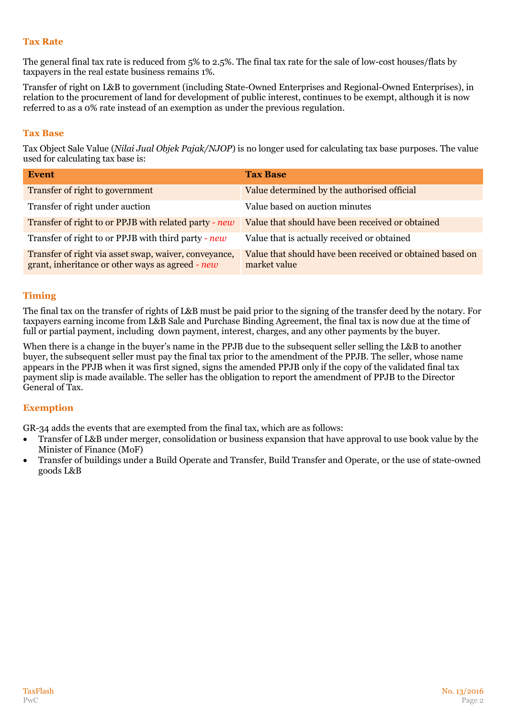#### **Tax Rate**

The general final tax rate is reduced from 5% to 2.5%. The final tax rate for the sale of low-cost houses/flats by taxpayers in the real estate business remains 1%.

Transfer of right on L&B to government (including State-Owned Enterprises and Regional-Owned Enterprises), in relation to the procurement of land for development of public interest, continues to be exempt, although it is now referred to as a 0% rate instead of an exemption as under the previous regulation.

#### **Tax Base**

Tax Object Sale Value (*Nilai Jual Objek Pajak/NJOP*) is no longer used for calculating tax base purposes. The value used for calculating tax base is:

| <b>Event</b>                                                                                              | <b>Tax Base</b>                                                           |
|-----------------------------------------------------------------------------------------------------------|---------------------------------------------------------------------------|
| Transfer of right to government                                                                           | Value determined by the authorised official                               |
| Transfer of right under auction                                                                           | Value based on auction minutes                                            |
| Transfer of right to or PPJB with related party - new                                                     | Value that should have been received or obtained                          |
| Transfer of right to or PPJB with third party - new                                                       | Value that is actually received or obtained                               |
| Transfer of right via asset swap, waiver, conveyance,<br>grant, inheritance or other ways as agreed - new | Value that should have been received or obtained based on<br>market value |

#### **Timing**

The final tax on the transfer of rights of L&B must be paid prior to the signing of the transfer deed by the notary. For taxpayers earning income from L&B Sale and Purchase Binding Agreement, the final tax is now due at the time of full or partial payment, including down payment, interest, charges, and any other payments by the buyer.

When there is a change in the buyer's name in the PPJB due to the subsequent seller selling the L&B to another buyer, the subsequent seller must pay the final tax prior to the amendment of the PPJB. The seller, whose name appears in the PPJB when it was first signed, signs the amended PPJB only if the copy of the validated final tax payment slip is made available. The seller has the obligation to report the amendment of PPJB to the Director General of Tax.

#### **Exemption**

GR-34 adds the events that are exempted from the final tax, which are as follows:

- Transfer of L&B under merger, consolidation or business expansion that have approval to use book value by the Minister of Finance (MoF)
- Transfer of buildings under a Build Operate and Transfer, Build Transfer and Operate, or the use of state-owned goods L&B